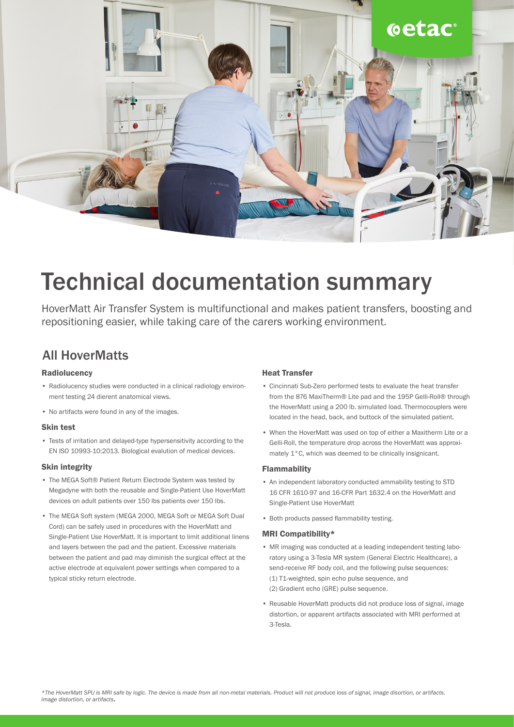

# Technical documentation summary

HoverMatt Air Transfer System is multifunctional and makes patient transfers, boosting and repositioning easier, while taking care of the carers working environment.

### All HoverMatts

### **Radiolucency**

- Radiolucency studies were conducted in a clinical radiology environment testing 24 dierent anatomical views.
- No artifacts were found in any of the images.

### Skin test

• Tests of irritation and delayed-type hypersensitivity according to the EN ISO 10993-10:2013. Biological evalution of medical devices.

### Skin integrity

- The MEGA Soft® Patient Return Electrode System was tested by Megadyne with both the reusable and Single-Patient Use HoverMatt devices on adult patients over 150 lbs patients over 150 lbs.
- The MEGA Soft system (MEGA 2000, MEGA Soft or MEGA Soft Dual Cord) can be safely used in procedures with the HoverMatt and Single-Patient Use HoverMatt. It is important to limit additional linens and layers between the pad and the patient. Excessive materials between the patient and pad may diminish the surgical effect at the active electrode at equivalent power settings when compared to a typical sticky return electrode.

### Heat Transfer

- Cincinnati Sub-Zero performed tests to evaluate the heat transfer from the 876 MaxiTherm® Lite pad and the 195P Gelli-Roll® through the HoverMatt using a 200 lb. simulated load. Thermocouplers were located in the head, back, and buttock of the simulated patient.
- When the HoverMatt was used on top of either a Maxitherm Lite or a Gelli-Roll, the temperature drop across the HoverMatt was approximately 1°C, which was deemed to be clinically insignicant.

### Flammability

- An independent laboratory conducted ammability testing to STD 16 CFR 1610-97 and 16-CFR Part 1632.4 on the HoverMatt and Single-Patient Use HoverMatt
- Both products passed flammability testing.

### MRI Compatibility\*

- MR imaging was conducted at a leading independent testing laboratory using a 3-Tesla MR system (General Electric Healthcare), a send-receive RF body coil, and the following pulse sequences: (1) T1-weighted, spin echo pulse sequence, and (2) Gradient echo (GRE) pulse sequence.
- Reusable HoverMatt products did not produce loss of signal, image distortion, or apparent artifacts associated with MRI performed at 3-Tesla.